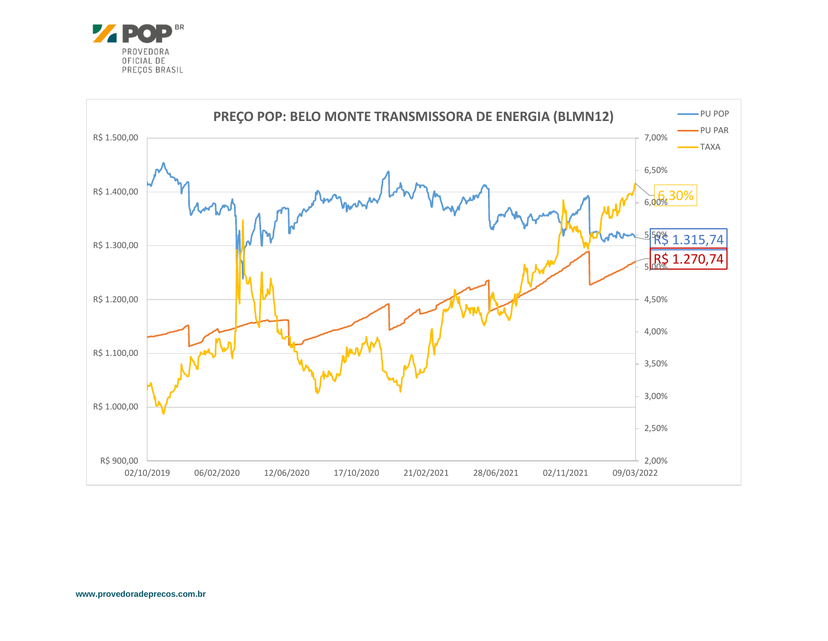

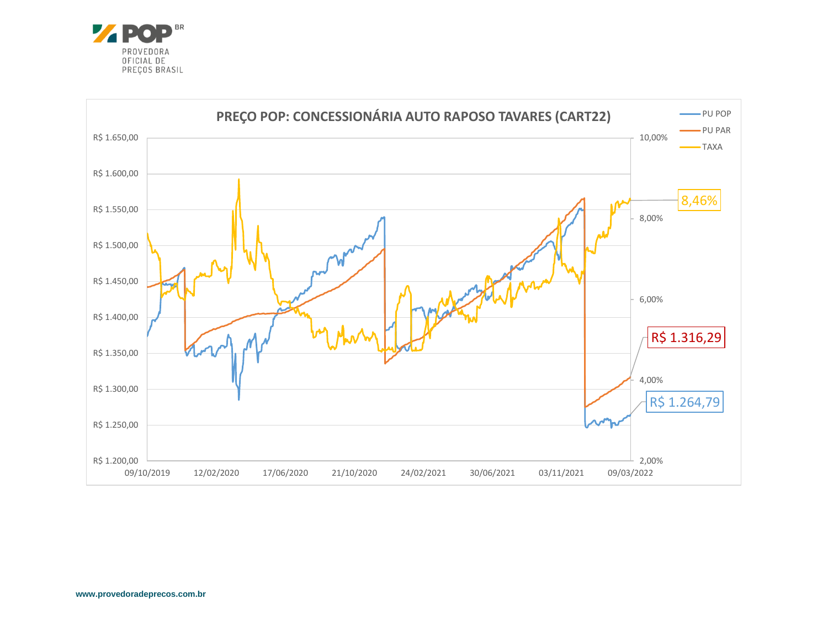

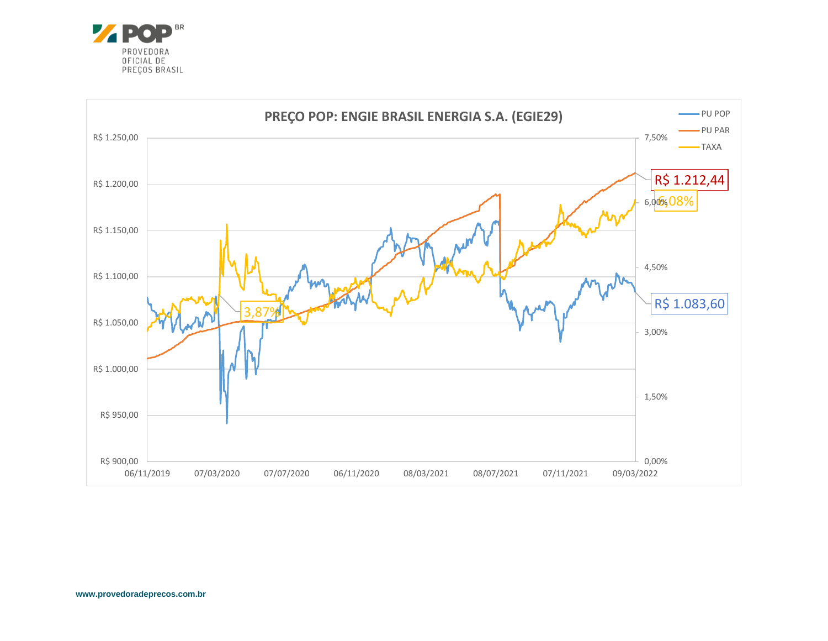

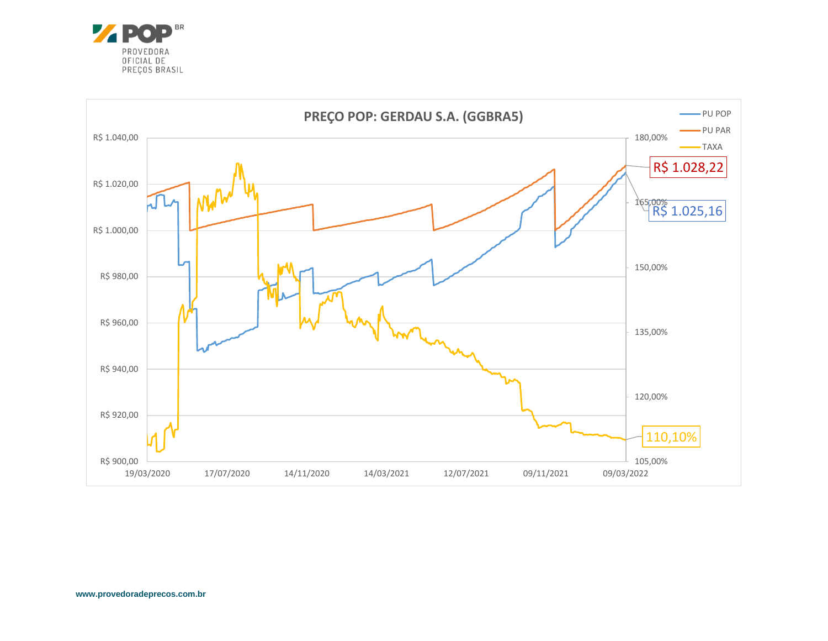

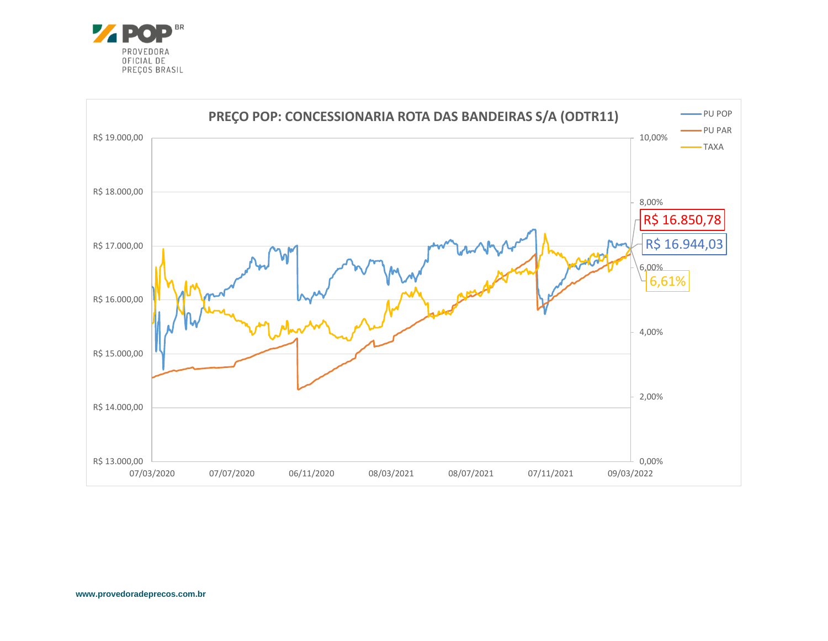

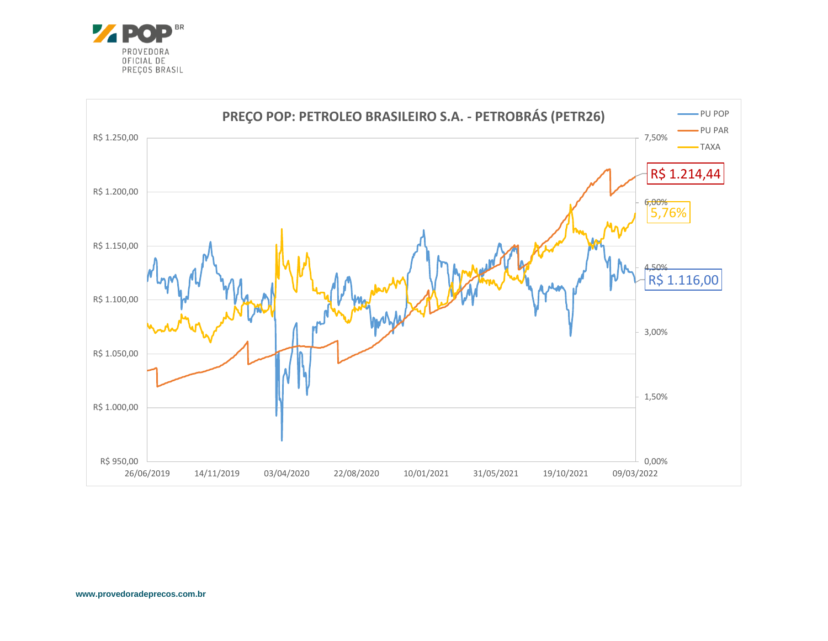

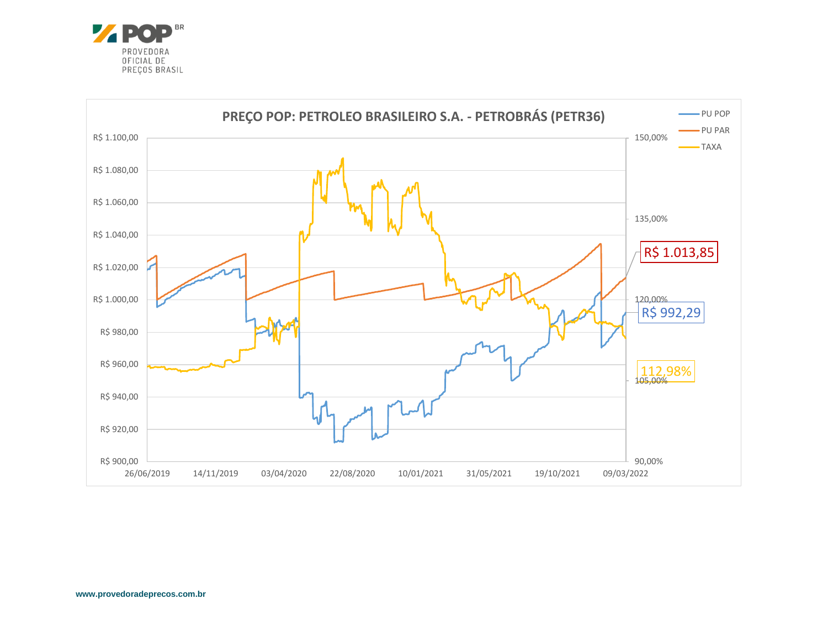

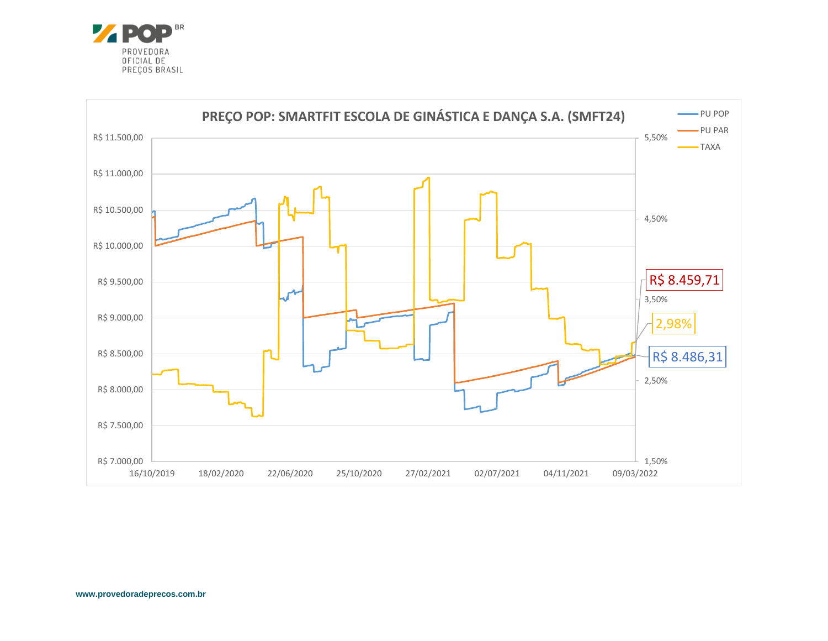

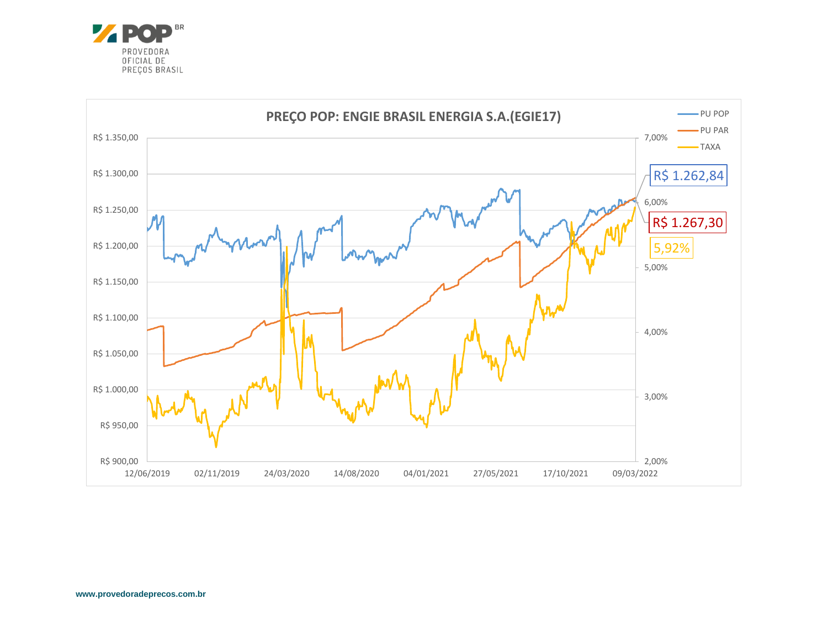

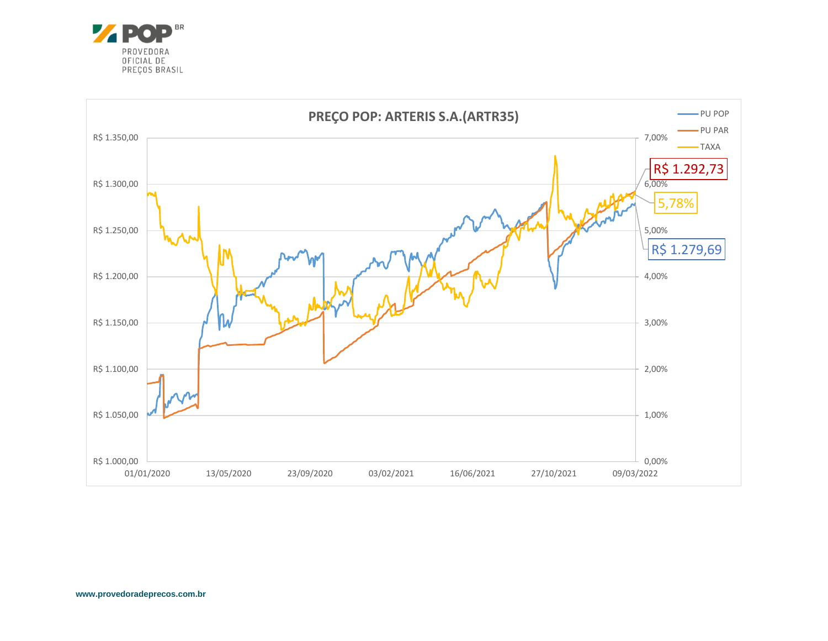

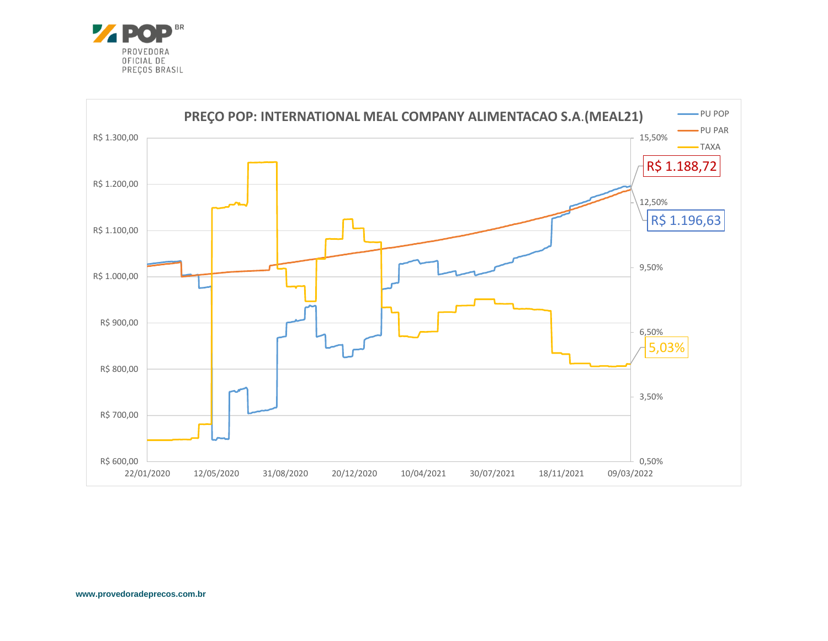

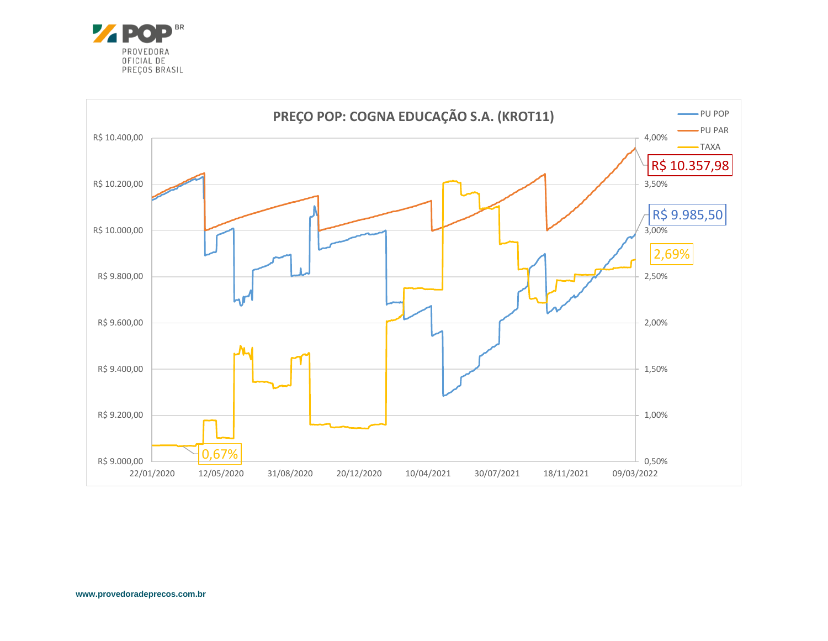

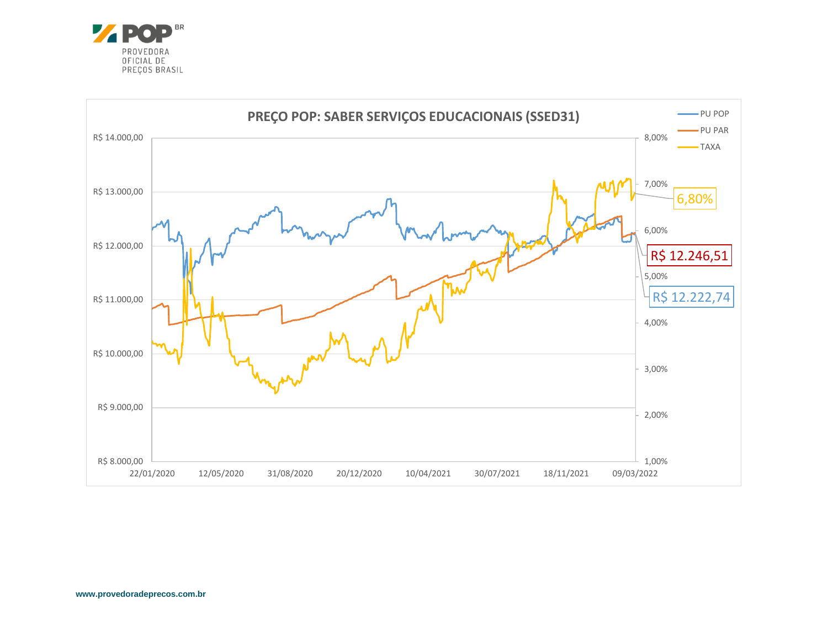

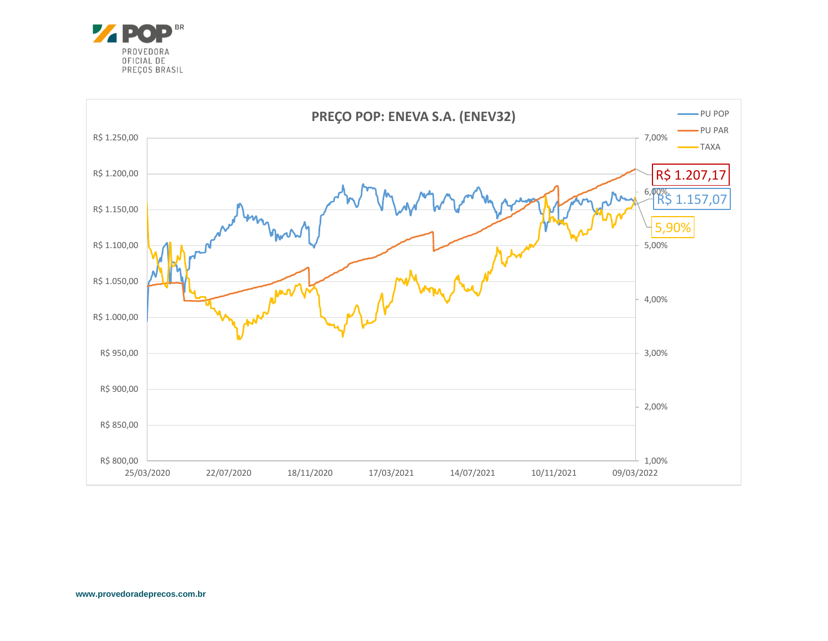

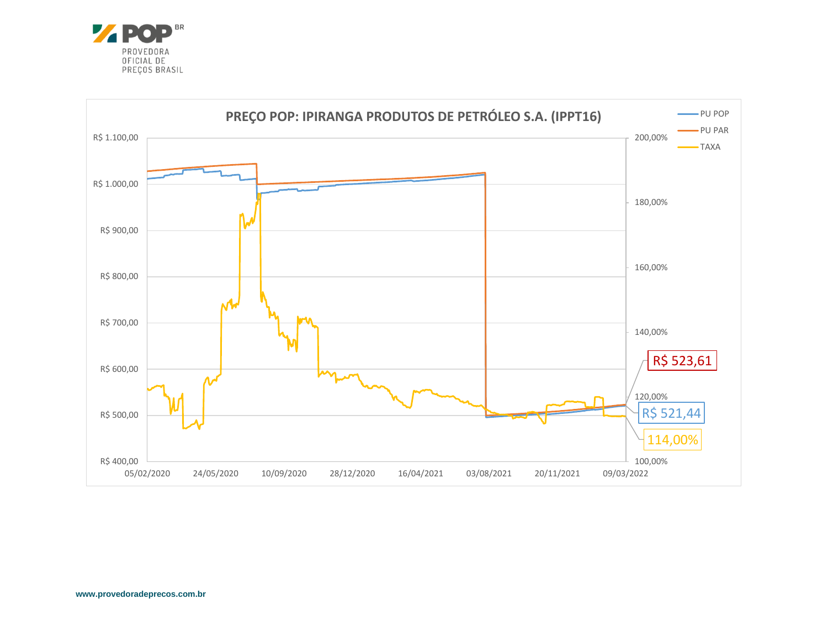

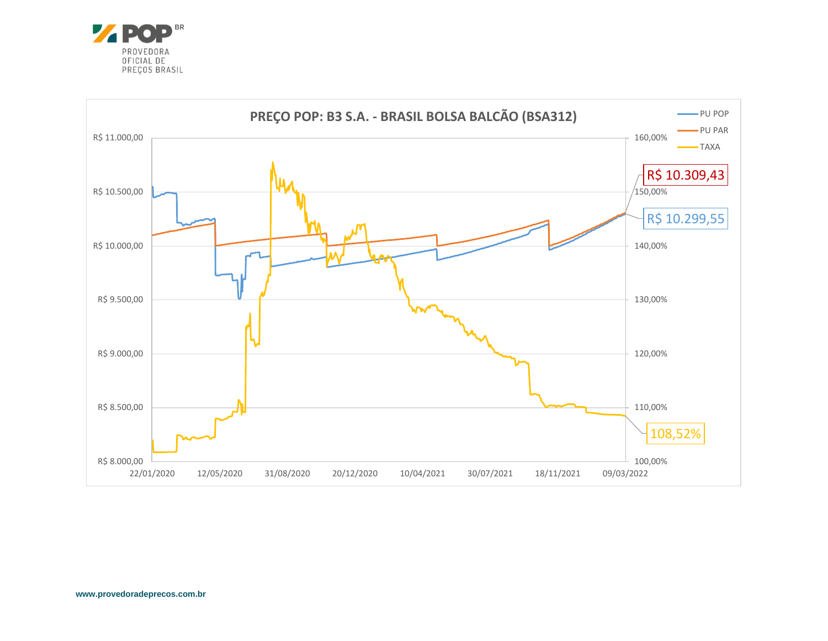

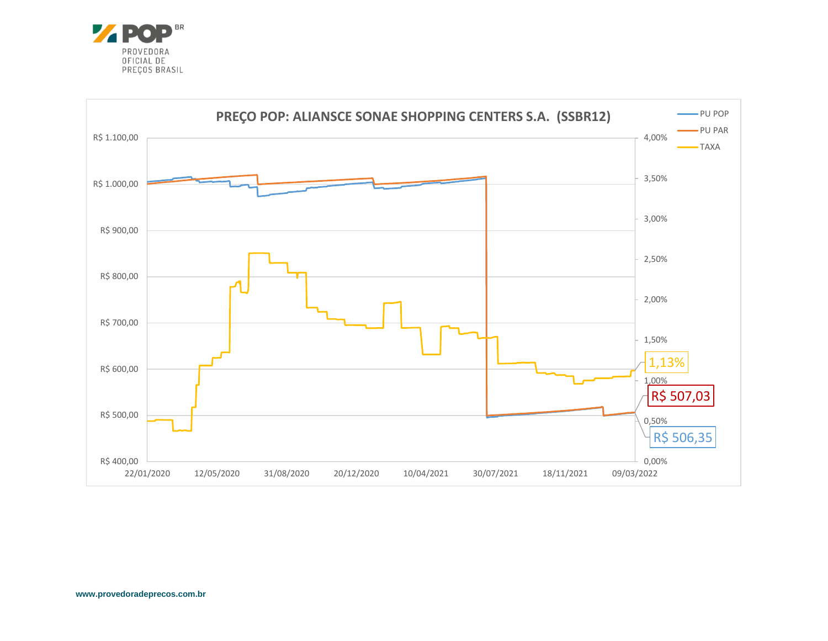

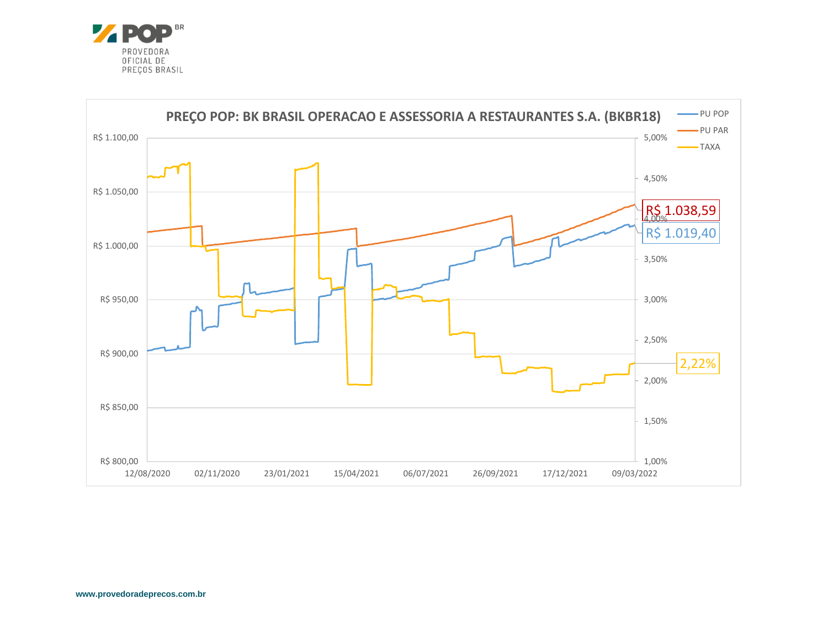

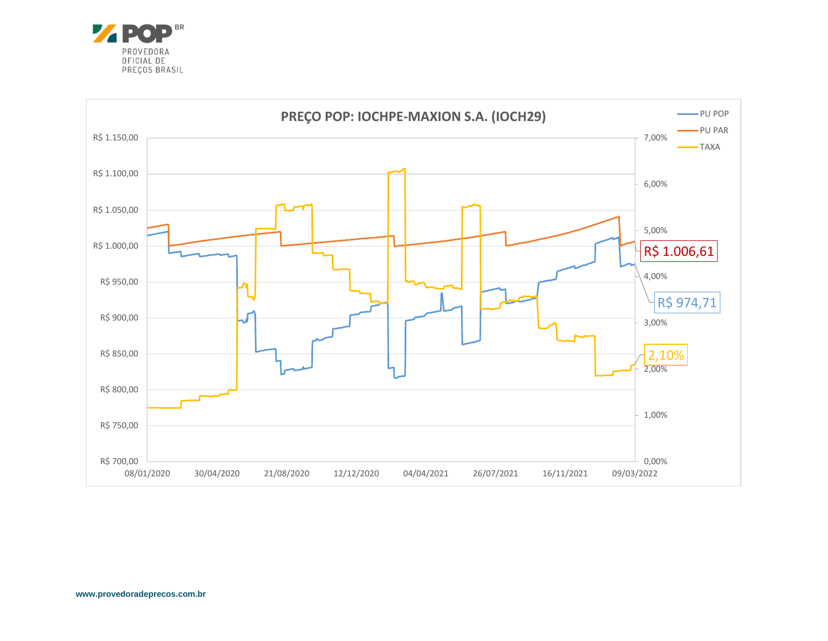

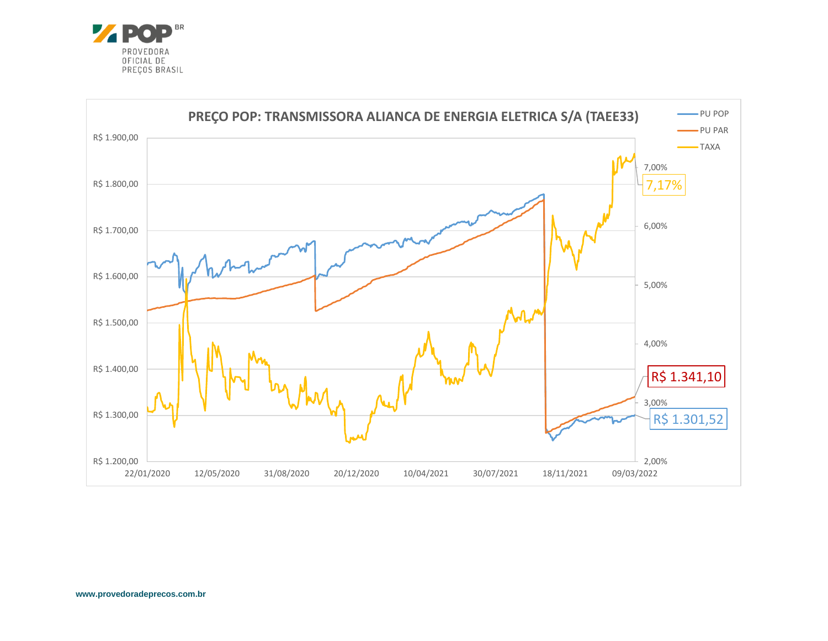![](_page_19_Picture_0.jpeg)

![](_page_19_Figure_1.jpeg)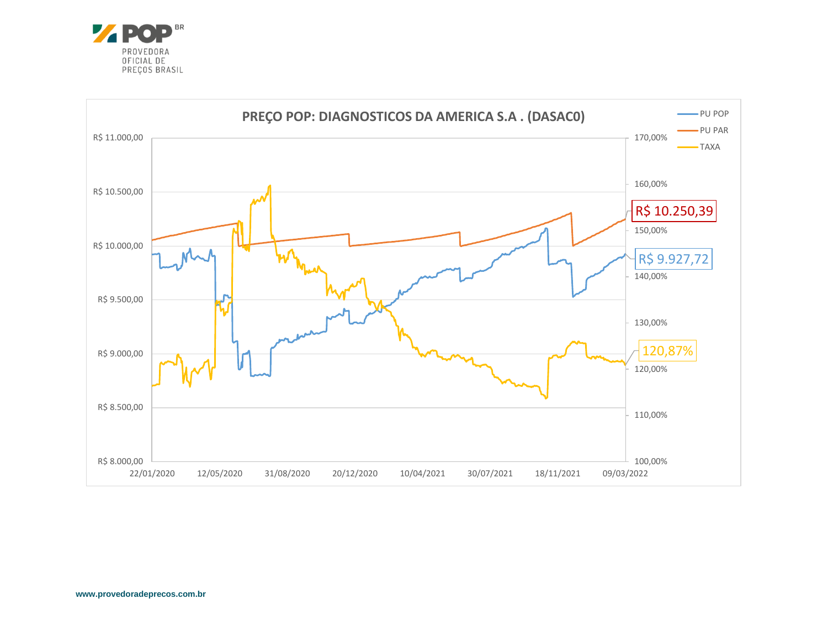![](_page_20_Picture_0.jpeg)

![](_page_20_Figure_1.jpeg)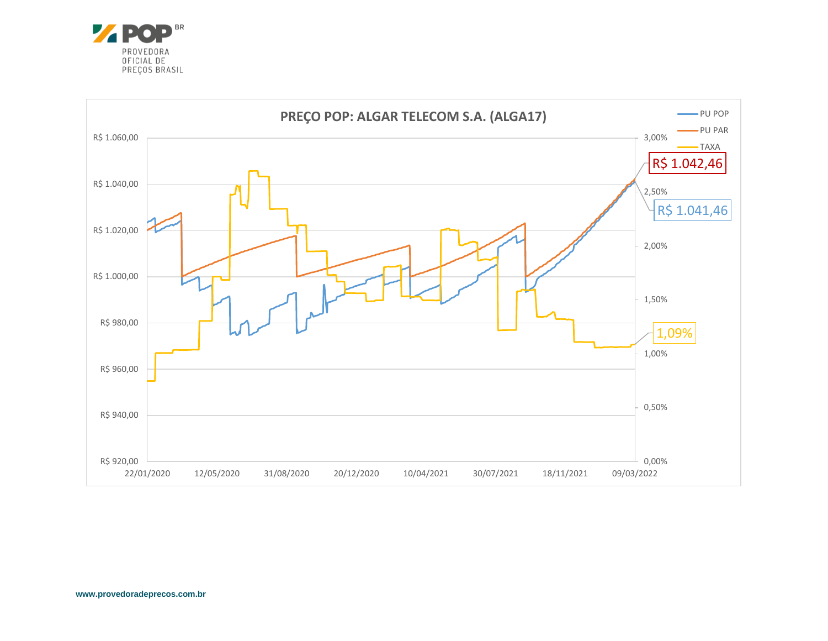![](_page_21_Picture_0.jpeg)

![](_page_21_Figure_1.jpeg)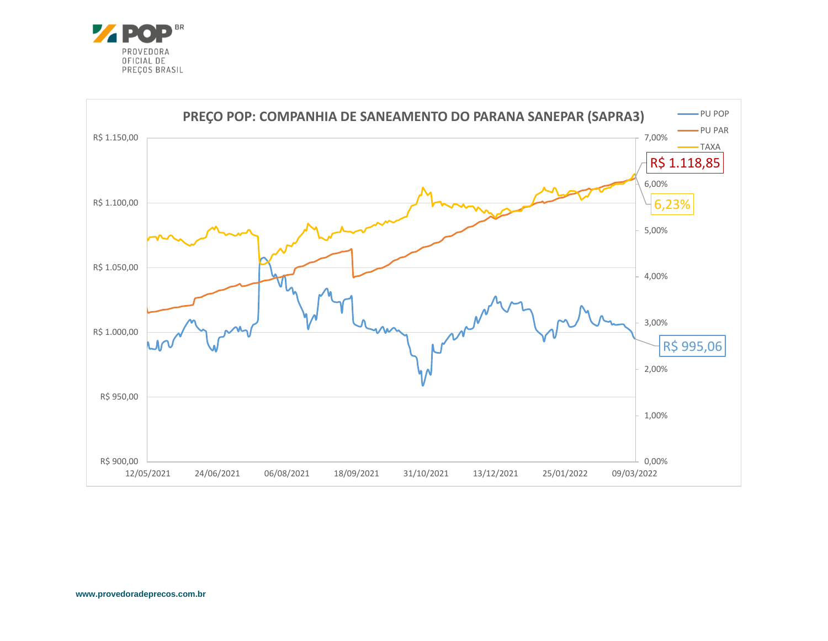![](_page_22_Picture_0.jpeg)

![](_page_22_Figure_1.jpeg)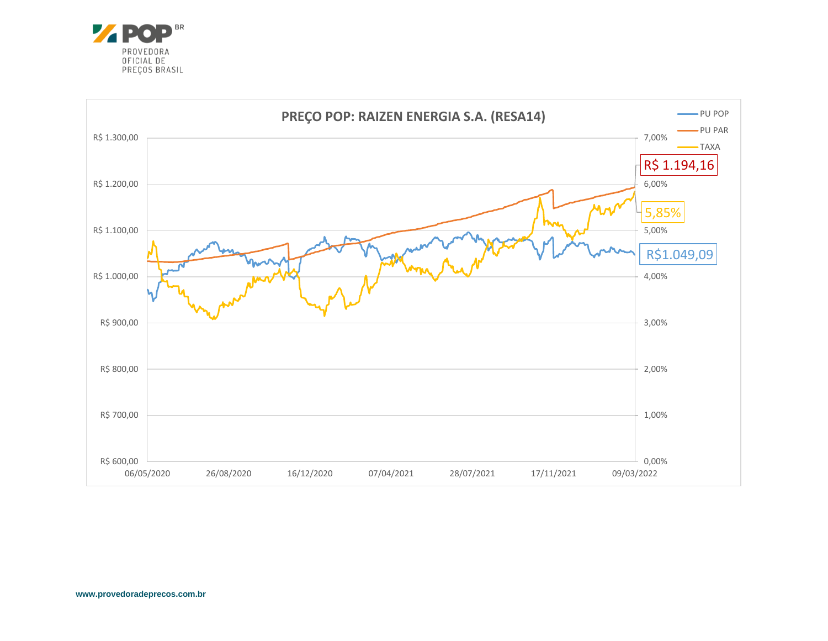![](_page_23_Picture_0.jpeg)

![](_page_23_Figure_1.jpeg)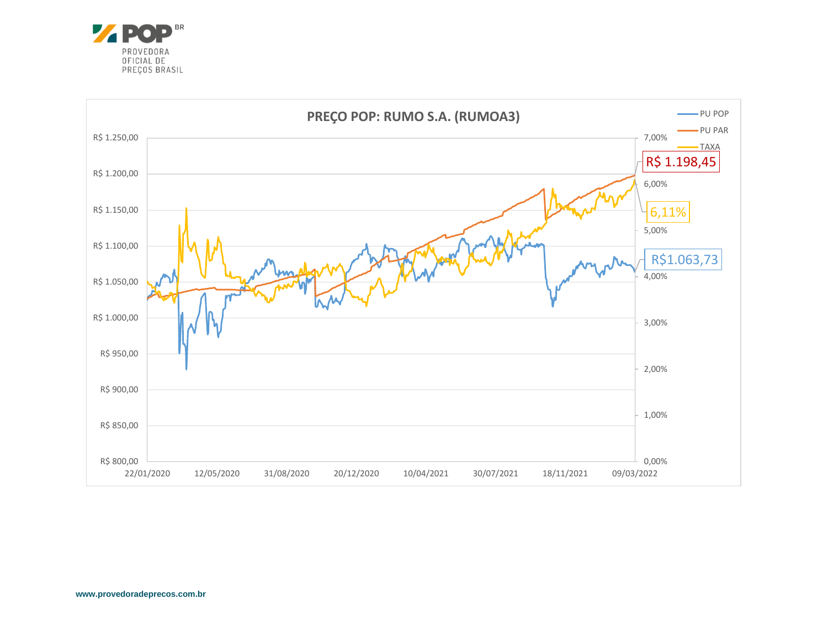![](_page_24_Picture_0.jpeg)

![](_page_24_Figure_1.jpeg)